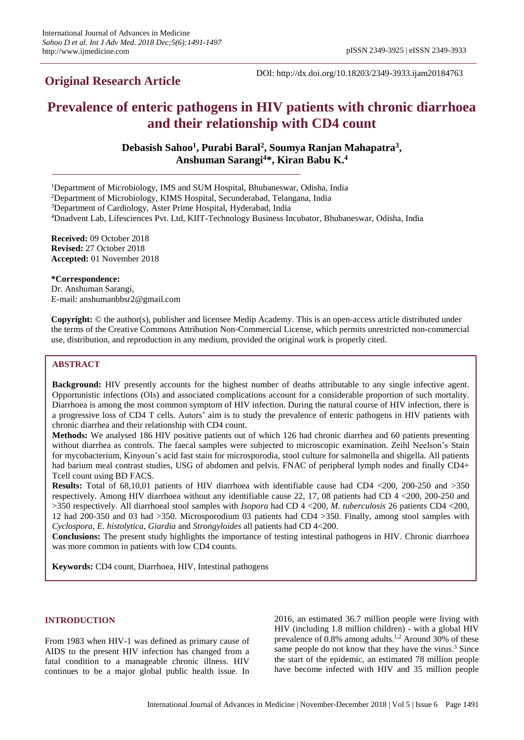## **Original Research Article**

DOI: http://dx.doi.org/10.18203/2349-3933.ijam20184763

# **Prevalence of enteric pathogens in HIV patients with chronic diarrhoea and their relationship with CD4 count**

**Debasish Sahoo<sup>1</sup> , Purabi Baral<sup>2</sup> , Soumya Ranjan Mahapatra<sup>3</sup> , Anshuman Sarangi<sup>4</sup>\*, Kiran Babu K. 4**

<sup>1</sup>Department of Microbiology, IMS and SUM Hospital, Bhubaneswar, Odisha, India

<sup>2</sup>Department of Microbiology, KIMS Hospital, Secunderabad, Telangana, India

<sup>3</sup>Department of Cardiology, Aster Prime Hospital, Hyderabad, India

<sup>4</sup>Dnadvent Lab, Lifesciences Pvt. Ltd, KIIT-Technology Business Incubator, Bhubaneswar, Odisha, India

**Received:** 09 October 2018 **Revised:** 27 October 2018 **Accepted:** 01 November 2018

**\*Correspondence:**

Dr. Anshuman Sarangi, E-mail: anshumanbbsr2@gmail.com

**Copyright:** © the author(s), publisher and licensee Medip Academy. This is an open-access article distributed under the terms of the Creative Commons Attribution Non-Commercial License, which permits unrestricted non-commercial use, distribution, and reproduction in any medium, provided the original work is properly cited.

## **ABSTRACT**

**Background:** HIV presently accounts for the highest number of deaths attributable to any single infective agent. Opportunistic infections (OIs) and associated complications account for a considerable proportion of such mortality. Diarrhoea is among the most common symptom of HIV infection. During the natural course of HIV infection, there is a progressive loss of CD4 T cells. Autors' aim is to study the prevalence of enteric pathogens in HIV patients with chronic diarrhea and their relationship with CD4 count.

**Methods:** We analysed 186 HIV positive patients out of which 126 had chronic diarrhea and 60 patients presenting without diarrhea as controls. The faecal samples were subjected to microscopic examination. Zeihl Neelson's Stain for mycobacterium, Kinyoun's acid fast stain for microsporodia, stool culture for salmonella and shigella. All patients had barium meal contrast studies, USG of abdomen and pelvis. FNAC of peripheral lymph nodes and finally CD4+ Tcell count using BD FACS.

**Results:** Total of 68,10,01 patients of HIV diarrhoea with identifiable cause had CD4 <200, 200-250 and >350 respectively. Among HIV diarrhoea without any identifiable cause 22, 17, 08 patients had CD 4 <200, 200-250 and >350 respectively. All diarrhoeal stool samples with *Isopora* had CD 4 <200, *M. tuberculosis* 26 patients CD4 <200, 12 had 200-350 and 03 had >350. Microsporodium 03 patients had CD4 >350. Finally, among stool samples with *Cyclospora*, *E. histolytica*, *Giardia* and *Strongyloides* all patients had CD 4<200.

**Conclusions:** The present study highlights the importance of testing intestinal pathogens in HIV. Chronic diarrhoea was more common in patients with low CD4 counts.

**Keywords:** CD4 count, Diarrhoea, HIV, Intestinal pathogens

## **INTRODUCTION**

From 1983 when HIV-1 was defined as primary cause of AIDS to the present HIV infection has changed from a fatal condition to a manageable chronic illness. HIV continues to be a major global public health issue. In 2016, an estimated 36.7 million people were living with HIV (including 1.8 million children) - with a global HIV prevalence of 0.8% among adults.<sup>1,2</sup> Around 30% of these same people do not know that they have the virus.<sup>3</sup> Since the start of the epidemic, an estimated 78 million people have become infected with HIV and 35 million people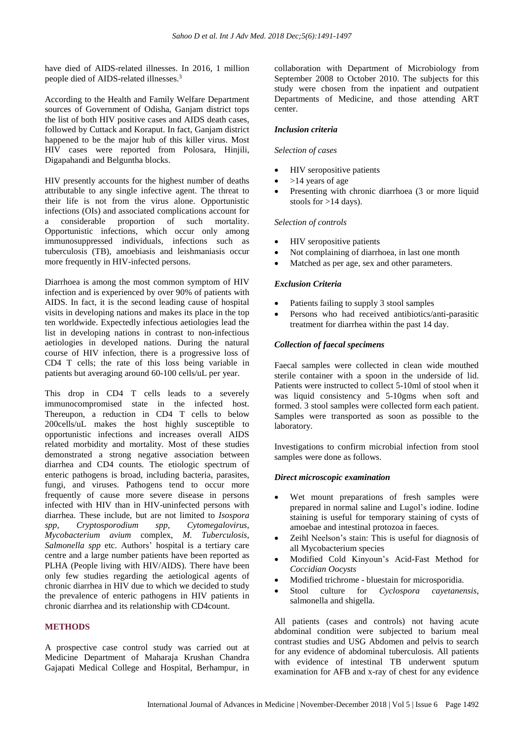have died of AIDS-related illnesses. In 2016, 1 million people died of AIDS-related illnesses.<sup>3</sup>

According to the Health and Family Welfare Department sources of Government of Odisha, Ganjam district tops the list of both HIV positive cases and AIDS death cases, followed by Cuttack and Koraput. In fact, Ganjam district happened to be the major hub of this killer virus. Most HIV cases were reported from Polosara, Hinjili, Digapahandi and Belguntha blocks.

HIV presently accounts for the highest number of deaths attributable to any single infective agent. The threat to their life is not from the virus alone. Opportunistic infections (OIs) and associated complications account for a considerable proportion of such mortality. Opportunistic infections, which occur only among immunosuppressed individuals, infections such as tuberculosis (TB), amoebiasis and leishmaniasis occur more frequently in HIV-infected persons.

Diarrhoea is among the most common symptom of HIV infection and is experienced by over 90% of patients with AIDS. In fact, it is the second leading cause of hospital visits in developing nations and makes its place in the top ten worldwide. Expectedly infectious aetiologies lead the list in developing nations in contrast to non-infectious aetiologies in developed nations. During the natural course of HIV infection, there is a progressive loss of CD4 T cells; the rate of this loss being variable in patients but averaging around 60-100 cells/uL per year.

This drop in CD4 T cells leads to a severely immunocompromised state in the infected host. Thereupon, a reduction in CD4 T cells to below 200cells/uL makes the host highly susceptible to opportunistic infections and increases overall AIDS related morbidity and mortality. Most of these studies demonstrated a strong negative association between diarrhea and CD4 counts. The etiologic spectrum of enteric pathogens is broad, including bacteria, parasites, fungi, and viruses. Pathogens tend to occur more frequently of cause more severe disease in persons infected with HIV than in HIV-uninfected persons with diarrhea. These include, but are not limited to *Isospora spp*, *Cryptosporodium spp*, *Cytomegalovirus*, *Mycobacterium avium* complex, *M. Tuberculosis*, *Salmonella spp* etc. Authors' hospital is a tertiary care centre and a large number patients have been reported as PLHA (People living with HIV/AIDS). There have been only few studies regarding the aetiological agents of chronic diarrhea in HIV due to which we decided to study the prevalence of enteric pathogens in HIV patients in chronic diarrhea and its relationship with CD4count.

## **METHODS**

A prospective case control study was carried out at Medicine Department of Maharaja Krushan Chandra Gajapati Medical College and Hospital, Berhampur, in collaboration with Department of Microbiology from September 2008 to October 2010. The subjects for this study were chosen from the inpatient and outpatient Departments of Medicine, and those attending ART center.

#### *Inclusion criteria*

#### *Selection of cases*

- HIV seropositive patients
- >14 years of age
- Presenting with chronic diarrhoea (3 or more liquid stools for >14 days).

#### *Selection of controls*

- HIV seropositive patients
- Not complaining of diarrhoea, in last one month
- Matched as per age, sex and other parameters.

## *Exclusion Criteria*

- Patients failing to supply 3 stool samples
- Persons who had received antibiotics/anti-parasitic treatment for diarrhea within the past 14 day.

#### *Collection of faecal specimens*

Faecal samples were collected in clean wide mouthed sterile container with a spoon in the underside of lid. Patients were instructed to collect 5-10ml of stool when it was liquid consistency and 5-10gms when soft and formed. 3 stool samples were collected form each patient. Samples were transported as soon as possible to the laboratory.

Investigations to confirm microbial infection from stool samples were done as follows.

#### *Direct microscopic examination*

- Wet mount preparations of fresh samples were prepared in normal saline and Lugol's iodine. Iodine staining is useful for temporary staining of cysts of amoebae and intestinal protozoa in faeces.
- Zeihl Neelson's stain: This is useful for diagnosis of all Mycobacterium species
- Modified Cold Kinyoun's Acid-Fast Method for *Coccidian Oocysts*
- Modified trichrome bluestain for microsporidia.
- Stool culture for *Cyclospora cayetanensis*, salmonella and shigella.

All patients (cases and controls) not having acute abdominal condition were subjected to barium meal contrast studies and USG Abdomen and pelvis to search for any evidence of abdominal tuberculosis. All patients with evidence of intestinal TB underwent sputum examination for AFB and x-ray of chest for any evidence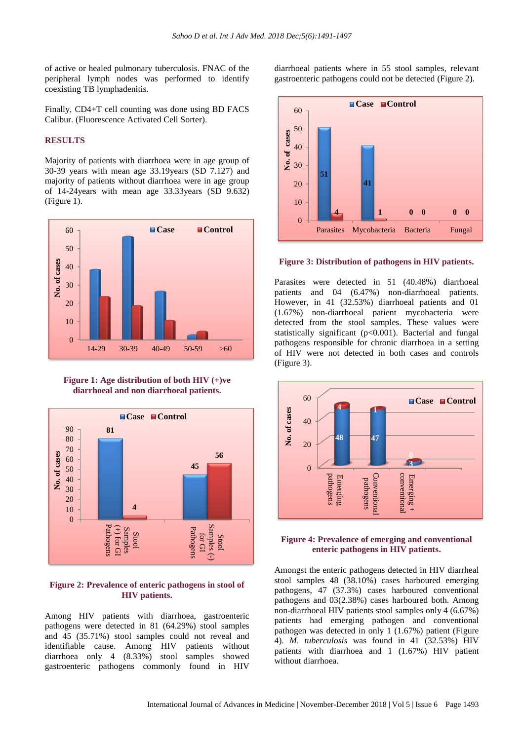of active or healed pulmonary tuberculosis. FNAC of the peripheral lymph nodes was performed to identify coexisting TB lymphadenitis.

Finally, CD4+T cell counting was done using BD FACS Calibur. (Fluorescence Activated Cell Sorter).

## **RESULTS**

Majority of patients with diarrhoea were in age group of 30-39 years with mean age 33.19years (SD 7.127) and majority of patients without diarrhoea were in age group of 14-24years with mean age 33.33years (SD 9.632) (Figure 1).



**Figure 1: Age distribution of both HIV (+)ve diarrhoeal and non diarrhoeal patients.**



## **Figure 2: Prevalence of enteric pathogens in stool of HIV patients.**

Among HIV patients with diarrhoea, gastroenteric pathogens were detected in 81 (64.29%) stool samples and 45 (35.71%) stool samples could not reveal and identifiable cause. Among HIV patients without diarrhoea only 4 (8.33%) stool samples showed gastroenteric pathogens commonly found in HIV

diarrhoeal patients where in 55 stool samples, relevant gastroenteric pathogens could not be detected (Figure 2).



#### **Figure 3: Distribution of pathogens in HIV patients.**

Parasites were detected in 51 (40.48%) diarrhoeal patients and 04 (6.47%) non-diarrhoeal patients. However, in 41 (32.53%) diarrhoeal patients and 01 (1.67%) non-diarrhoeal patient mycobacteria were detected from the stool samples. These values were statistically significant (p<0.001). Bacterial and fungal pathogens responsible for chronic diarrhoea in a setting of HIV were not detected in both cases and controls (Figure 3).



#### **Figure 4: Prevalence of emerging and conventional enteric pathogens in HIV patients.**

Amongst the enteric pathogens detected in HIV diarrheal stool samples 48 (38.10%) cases harboured emerging pathogens, 47 (37.3%) cases harboured conventional pathogens and 03(2.38%) cases harboured both. Among non-diarrhoeal HIV patients stool samples only 4 (6.67%) patients had emerging pathogen and conventional pathogen was detected in only 1 (1.67%) patient (Figure 4). *M. tuberculosis* was found in 41 (32.53%) HIV patients with diarrhoea and 1 (1.67%) HIV patient without diarrhoea.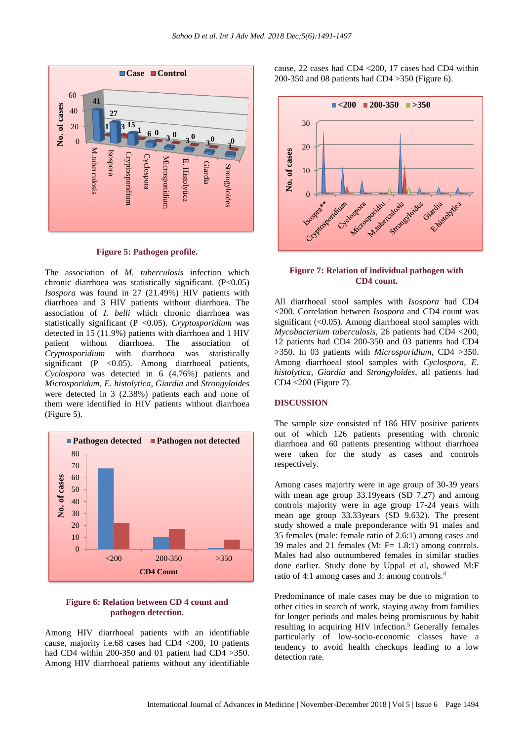

**Figure 5: Pathogen profile.**

The association of *M. tuberculosis* infection which chronic diarrhoea was statistically significant. (P<0.05) *Isospora* was found in 27 (21.49%) HIV patients with diarrhoea and 3 HIV patients without diarrhoea. The association of *I. belli* which chronic diarrhoea was statistically significant (P <0.05). *Cryptosporidium* was detected in 15 (11.9%) patients with diarrhoea and 1 HIV patient without diarrhoea. The association of *Cryptosporidium* with diarrhoea was statistically significant (P  $<$  0.05). Among diarrhoeal patients, *Cyclospora* was detected in 6 (4.76%) patients and *Microsporidum*, *E. histolytica*, *Giardia* and *Strongyloides* were detected in 3 (2.38%) patients each and none of them were identified in HIV patients without diarrhoea (Figure 5).



## **Figure 6: Relation between CD 4 count and pathogen detection.**

Among HIV diarrhoeal patients with an identifiable cause, majority i.e.68 cases had CD4 <200, 10 patients had CD4 within 200-350 and 01 patient had CD4 > 350. Among HIV diarrhoeal patients without any identifiable

cause, 22 cases had CD4 <200, 17 cases had CD4 within 200-350 and 08 patients had CD4 >350 (Figure 6).



## **Figure 7: Relation of individual pathogen with CD4 count.**

All diarrhoeal stool samples with *Isospora* had CD4 <200. Correlation between *Isospora* and CD4 count was significant (<0.05). Among diarrhoeal stool samples with *Mycobacterium tuberculosis*, 26 patients had CD4 <200, 12 patients had CD4 200-350 and 03 patients had CD4 >350. In 03 patients with *Microsporidium*, CD4 >350. Among diarrhoeal stool samples with *Cyclospora*, *E. histolytica*, *Giardia* and *Strongyloides*, all patients had CD4 <200 (Figure 7).

## **DISCUSSION**

The sample size consisted of 186 HIV positive patients out of which 126 patients presenting with chronic diarrhoea and 60 patients presenting without diarrhoea were taken for the study as cases and controls respectively.

Among cases majority were in age group of 30-39 years with mean age group 33.19years (SD 7.27) and among controls majority were in age group 17-24 years with mean age group 33.33years (SD 9.632). The present study showed a male preponderance with 91 males and 35 females (male: female ratio of 2.6:1) among cases and 39 males and 21 females  $(M: F = 1.8:1)$  among controls. Males had also outnumbered females in similar studies done earlier. Study done by Uppal et al, showed M:F ratio of 4:1 among cases and 3: among controls.<sup>4</sup>

Predominance of male cases may be due to migration to other cities in search of work, staying away from families for longer periods and males being promiscuous by habit resulting in acquiring HIV infection.<sup>5</sup> Generally females particularly of low-socio-economic classes have a tendency to avoid health checkups leading to a low detection rate.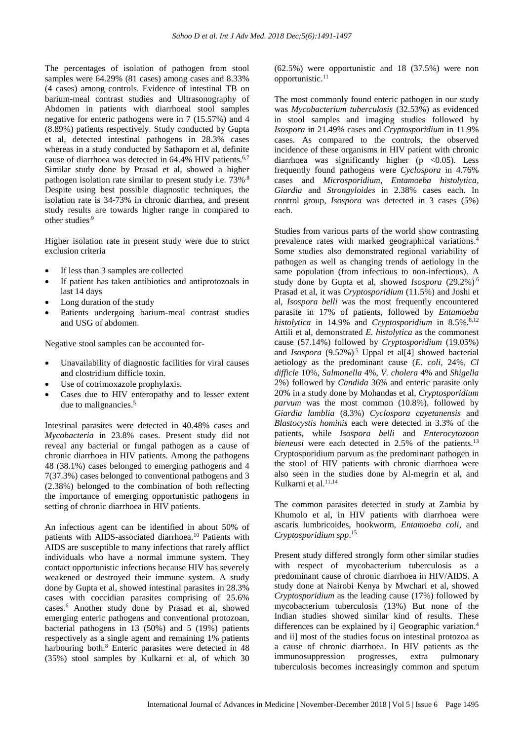The percentages of isolation of pathogen from stool samples were 64.29% (81 cases) among cases and 8.33% (4 cases) among controls. Evidence of intestinal TB on barium-meal contrast studies and Ultrasonography of Abdomen in patients with diarrhoeal stool samples negative for enteric pathogens were in 7 (15.57%) and 4 (8.89%) patients respectively. Study conducted by Gupta et al, detected intestinal pathogens in 28.3% cases whereas in a study conducted by Sathaporn et al, definite cause of diarrhoea was detected in 64.4% HIV patients.<sup>6,7</sup> Similar study done by Prasad et al, showed a higher pathogen isolation rate similar to present study i.e. 73%.8 Despite using best possible diagnostic techniques, the isolation rate is 34-73% in chronic diarrhea, and present study results are towards higher range in compared to other studies.9

Higher isolation rate in present study were due to strict exclusion criteria

- If less than 3 samples are collected
- If patient has taken antibiotics and antiprotozoals in last 14 days
- Long duration of the study
- Patients undergoing barium-meal contrast studies and USG of abdomen.

Negative stool samples can be accounted for-

- Unavailability of diagnostic facilities for viral causes and clostridium difficle toxin.
- Use of cotrimoxazole prophylaxis.
- Cases due to HIV enteropathy and to lesser extent due to malignancies.<sup>5</sup>

Intestinal parasites were detected in 40.48% cases and *Mycobacteria* in 23.8% cases. Present study did not reveal any bacterial or fungal pathogen as a cause of chronic diarrhoea in HIV patients. Among the pathogens 48 (38.1%) cases belonged to emerging pathogens and 4 7(37.3%) cases belonged to conventional pathogens and 3 (2.38%) belonged to the combination of both reflecting the importance of emerging opportunistic pathogens in setting of chronic diarrhoea in HIV patients.

An infectious agent can be identified in about 50% of patients with AIDS-associated diarrhoea.<sup>10</sup> Patients with AIDS are susceptible to many infections that rarely afflict individuals who have a normal immune system. They contact opportunistic infections because HIV has severely weakened or destroyed their immune system. A study done by Gupta et al, showed intestinal parasites in 28.3% cases with coccidian parasites comprising of 25.6% cases.<sup>6</sup> Another study done by Prasad et al, showed emerging enteric pathogens and conventional protozoan, bacterial pathogens in 13 (50%) and 5 (19%) patients respectively as a single agent and remaining 1% patients harbouring both.<sup>8</sup> Enteric parasites were detected in 48 (35%) stool samples by Kulkarni et al, of which 30 (62.5%) were opportunistic and 18 (37.5%) were non opportunistic.<sup>11</sup>

The most commonly found enteric pathogen in our study was *Mycobacterium tuberculosis* (32.53%) as evidenced in stool samples and imaging studies followed by *Isospora* in 21.49% cases and *Cryptosporidium* in 11.9% cases. As compared to the controls, the observed incidence of these organisms in HIV patient with chronic diarrhoea was significantly higher ( $p \leq 0.05$ ). Less frequently found pathogens were *Cyclospora* in 4.76% cases and *Microsporidium*, *Entamoeba histolytica*, *Giardia* and *Strongyloides* in 2.38% cases each. In control group, *Isospora* was detected in 3 cases (5%) each.

Studies from various parts of the world show contrasting prevalence rates with marked geographical variations. 4 Some studies also demonstrated regional variability of pathogen as well as changing trends of aetiology in the same population (from infectious to non-infectious). A study done by Gupta et al, showed *Isospora* (29.2%).6 Prasad et al, it was *Cryptosporidium* (11.5%) and Joshi et al, *Isospora belli* was the most frequently encountered parasite in 17% of patients, followed by *Entamoeba histolytica* in 14.9% and *Cryptosporidium* in 8.5%.<sup>8,12</sup> Attili et al, demonstrated *E. histolytica* as the commonest cause (57.14%) followed by *Cryptosporidium* (19.05%) and *Isospora* (9.52%)<sup>5</sup> Uppal et all<sup>41</sup> showed bacterial aetiology as the predominant cause (*E. coli*, 24%, *Cl difficle* 10%, *Salmonella* 4%, *V. cholera* 4% and *Shigella*  2%) followed by *Candida* 36% and enteric parasite only 20% in a study done by Mohandas et al, *Cryptosporidium parvum* was the most common (10.8%), followed by *Giardia lamblia* (8.3%) *Cyclospora cayetanensis* and *Blastocystis hominis* each were detected in 3.3% of the patients, while *Isospora belli* and *Enterocytozoon bieneusi* were each detected in 2.5% of the patients.<sup>13</sup> Cryptosporidium parvum as the predominant pathogen in the stool of HIV patients with chronic diarrhoea were also seen in the studies done by Al-megrin et al, and Kulkarni et al.<sup>11,14</sup>

The common parasites detected in study at Zambia by Khumolo et al, in HIV patients with diarrhoea were ascaris lumbricoides, hookworm, *Entamoeba coli*, and *Cryptosporidium spp*. 15

Present study differed strongly form other similar studies with respect of mycobacterium tuberculosis as a predominant cause of chronic diarrhoea in HIV/AIDS. A study done at Nairobi Kenya by Mwchari et al, showed *Cryptosporidium* as the leading cause (17%) followed by mycobacterium tuberculosis (13%) But none of the Indian studies showed similar kind of results. These differences can be explained by il Geographic variation.<sup>4</sup> and ii] most of the studies focus on intestinal protozoa as a cause of chronic diarrhoea. In HIV patients as the immunosuppression progresses, extra pulmonary tuberculosis becomes increasingly common and sputum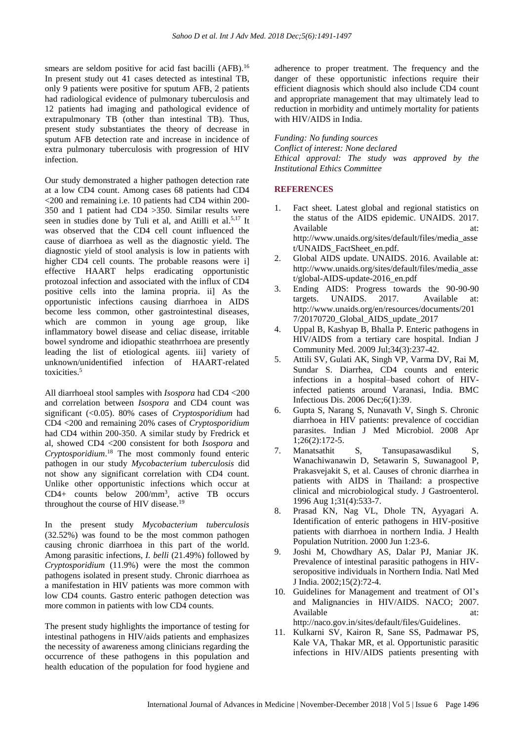smears are seldom positive for acid fast bacilli (AFB).<sup>16</sup> In present study out 41 cases detected as intestinal TB, only 9 patients were positive for sputum AFB, 2 patients had radiological evidence of pulmonary tuberculosis and 12 patients had imaging and pathological evidence of extrapulmonary TB (other than intestinal TB). Thus, present study substantiates the theory of decrease in sputum AFB detection rate and increase in incidence of extra pulmonary tuberculosis with progression of HIV infection.

Our study demonstrated a higher pathogen detection rate at a low CD4 count. Among cases 68 patients had CD4 <200 and remaining i.e. 10 patients had CD4 within 200- 350 and 1 patient had CD4 >350. Similar results were seen in studies done by Tuli et al, and Atilli et al.<sup>5,17</sup> It was observed that the CD4 cell count influenced the cause of diarrhoea as well as the diagnostic yield. The diagnostic yield of stool analysis is low in patients with higher CD4 cell counts. The probable reasons were i effective HAART helps eradicating opportunistic protozoal infection and associated with the influx of CD4 positive cells into the lamina propria. ii] As the opportunistic infections causing diarrhoea in AIDS become less common, other gastrointestinal diseases, which are common in young age group, like inflammatory bowel disease and celiac disease, irritable bowel syndrome and idiopathic steathrrhoea are presently leading the list of etiological agents. iii] variety of unknown/unidentified infection of HAART-related toxicities.<sup>5</sup>

All diarrhoeal stool samples with *Isospora* had CD4 <200 and correlation between *Isospora* and CD4 count was significant (<0.05). 80% cases of *Cryptosporidium* had CD4 <200 and remaining 20% cases of *Cryptosporidium* had CD4 within 200-350. A similar study by Fredrick et al, showed CD4 <200 consistent for both *Isospora* and *Cryptosporidium*. <sup>18</sup> The most commonly found enteric pathogen in our study *Mycobacterium tuberculosis* did not show any significant correlation with CD4 count. Unlike other opportunistic infections which occur at CD4+ counts below 200/mm<sup>3</sup> , active TB occurs throughout the course of HIV disease.<sup>19</sup>

In the present study *Mycobacterium tuberculosis* (32.52%) was found to be the most common pathogen causing chronic diarrhoea in this part of the world. Among parasitic infections, *I. belli* (21.49%) followed by *Cryptosporidium* (11.9%) were the most the common pathogens isolated in present study. Chronic diarrhoea as a manifestation in HIV patients was more common with low CD4 counts. Gastro enteric pathogen detection was more common in patients with low CD4 counts.

The present study highlights the importance of testing for intestinal pathogens in HIV/aids patients and emphasizes the necessity of awareness among clinicians regarding the occurrence of these pathogens in this population and health education of the population for food hygiene and adherence to proper treatment. The frequency and the danger of these opportunistic infections require their efficient diagnosis which should also include CD4 count and appropriate management that may ultimately lead to reduction in morbidity and untimely mortality for patients with HIV/AIDS in India.

*Funding: No funding sources Conflict of interest: None declared Ethical approval: The study was approved by the Institutional Ethics Committee*

## **REFERENCES**

- 1. Fact sheet. Latest global and regional statistics on the status of the AIDS epidemic. UNAIDS. 2017. Available at: at: http://www.unaids.org/sites/default/files/media\_asse t/UNAIDS\_FactSheet\_en.pdf.
- 2. Global AIDS update. UNAIDS. 2016. Available at: http://www.unaids.org/sites/default/files/media\_asse t/global-AIDS-update-2016\_en.pdf
- 3. Ending AIDS: Progress towards the 90-90-90 targets. UNAIDS. 2017. Available at: http://www.unaids.org/en/resources/documents/201 7/20170720\_Global\_AIDS\_update\_2017
- 4. Uppal B, Kashyap B, Bhalla P. Enteric pathogens in HIV/AIDS from a tertiary care hospital. Indian J Community Med. 2009 Jul;34(3):237-42.
- 5. Attili SV, Gulati AK, Singh VP, Varma DV, Rai M, Sundar S. Diarrhea, CD4 counts and enteric infections in a hospital–based cohort of HIVinfected patients around Varanasi, India. BMC Infectious Dis. 2006 Dec;6(1):39.
- 6. Gupta S, Narang S, Nunavath V, Singh S. Chronic diarrhoea in HIV patients: prevalence of coccidian parasites. Indian J Med Microbiol. 2008 Apr 1;26(2):172-5.
- 7. Manatsathit S, Tansupasawasdikul S, Wanachiwanawin D, Setawarin S, Suwanagool P, Prakasvejakit S, et al. Causes of chronic diarrhea in patients with AIDS in Thailand: a prospective clinical and microbiological study. J Gastroenterol. 1996 Aug 1;31(4):533-7.
- 8. Prasad KN, Nag VL, Dhole TN, Ayyagari A. Identification of enteric pathogens in HIV-positive patients with diarrhoea in northern India. J Health Population Nutrition. 2000 Jun 1:23-6.
- 9. Joshi M, Chowdhary AS, Dalar PJ, Maniar JK. Prevalence of intestinal parasitic pathogens in HIVseropositive individuals in Northern India. Natl Med J India. 2002;15(2):72-4.
- 10. Guidelines for Management and treatment of OI's and Malignancies in HIV/AIDS. NACO; 2007. Available at: at: http://naco.gov.in/sites/default/files/Guidelines.
- 11. Kulkarni SV, Kairon R, Sane SS, Padmawar PS, Kale VA, Thakar MR, et al. Opportunistic parasitic infections in HIV/AIDS patients presenting with